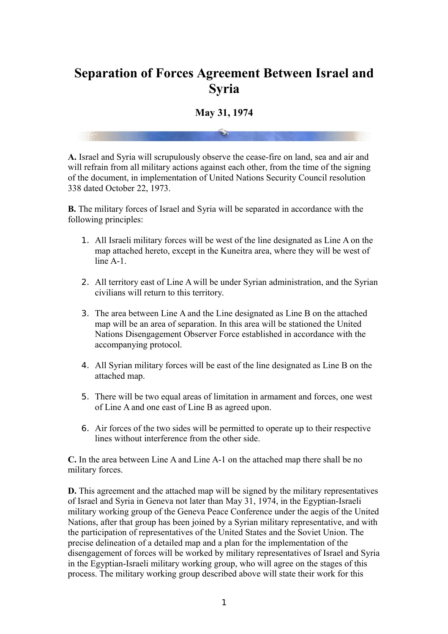## **Separation of Forces Agreement Between Israel and Syria**

## **May 31, 1974**

**A.** Israel and Syria will scrupulously observe the cease-fire on land, sea and air and will refrain from all military actions against each other, from the time of the signing of the document, in implementation of United Nations Security Council resolution 338 dated October 22, 1973.

**B.** The military forces of Israel and Syria will be separated in accordance with the following principles:

- 1. All Israeli military forces will be west of the line designated as Line A on the map attached hereto, except in the Kuneitra area, where they will be west of line A-1.
- 2. All territory east of Line A will be under Syrian administration, and the Syrian civilians will return to this territory.
- 3. The area between Line A and the Line designated as Line B on the attached map will be an area of separation. In this area will be stationed the United Nations Disengagement Observer Force established in accordance with the accompanying protocol.
- 4. All Syrian military forces will be east of the line designated as Line B on the attached map.
- 5. There will be two equal areas of limitation in armament and forces, one west of Line A and one east of Line B as agreed upon.
- 6. Air forces of the two sides will be permitted to operate up to their respective lines without interference from the other side.

**C.** In the area between Line A and Line A-1 on the attached map there shall be no military forces.

**D.** This agreement and the attached map will be signed by the military representatives of Israel and Syria in Geneva not later than May 31, 1974, in the Egyptian-Israeli military working group of the Geneva Peace Conference under the aegis of the United Nations, after that group has been joined by a Syrian military representative, and with the participation of representatives of the United States and the Soviet Union. The precise delineation of a detailed map and a plan for the implementation of the disengagement of forces will be worked by military representatives of Israel and Syria in the Egyptian-Israeli military working group, who will agree on the stages of this process. The military working group described above will state their work for this